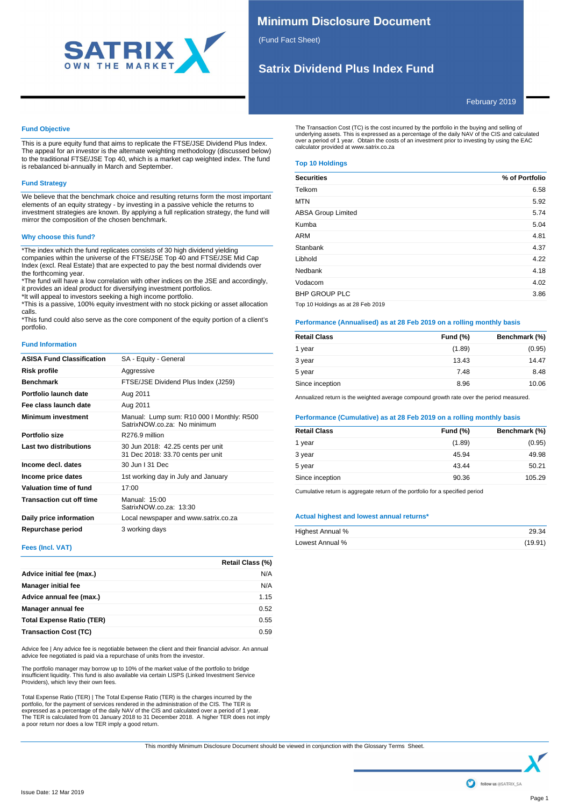

# **Minimum Disclosure Document**

(Fund Fact Sheet)

# **Satrix Dividend Plus Index Fund**

February 2019

# **Fund Objective**

This is a pure equity fund that aims to replicate the FTSE/JSE Dividend Plus Index. The appeal for an investor is the alternate weighting methodology (discussed below) to the traditional FTSE/JSE Top 40, which is a market cap weighted index. The fund is rebalanced bi-annually in March and September.

# **Fund Strategy**

We believe that the benchmark choice and resulting returns form the most important elements of an equity strategy - by investing in a passive vehicle the returns to investment strategies are known. By applying a full replication strategy, the fund will mirror the composition of the chosen benchmark.

# **Why choose this fund?**

\*The index which the fund replicates consists of 30 high dividend yielding companies within the universe of the FTSE/JSE Top 40 and FTSE/JSE Mid Cap Index (excl. Real Estate) that are expected to pay the best normal dividends over the forthcoming year.

\*The fund will have a low correlation with other indices on the JSE and accordingly, it provides an ideal product for diversifying investment portfolios.

\*It will appeal to investors seeking a high income portfolio.

\*This is a passive, 100% equity investment with no stock picking or asset allocation calls.

\*This fund could also serve as the core component of the equity portion of a client's portfolio.

### **Fund Information**

| <b>ASISA Fund Classification</b> | SA - Equity - General                                                    |
|----------------------------------|--------------------------------------------------------------------------|
| <b>Risk profile</b>              | Aggressive                                                               |
| <b>Benchmark</b>                 | FTSE/JSE Dividend Plus Index (J259)                                      |
| Portfolio launch date            | Aug 2011                                                                 |
| Fee class launch date            | Aug 2011                                                                 |
| <b>Minimum investment</b>        | Manual: Lump sum: R10 000 I Monthly: R500<br>SatrixNOW co za: No minimum |
| Portfolio size                   | R276.9 million                                                           |
| Last two distributions           | 30 Jun 2018: 42.25 cents per unit<br>31 Dec 2018: 33.70 cents per unit   |
| Income decl. dates               | 30 Jun   31 Dec                                                          |
| Income price dates               | 1st working day in July and January                                      |
| Valuation time of fund           | 17:00                                                                    |
| <b>Transaction cut off time</b>  | Manual: 15:00<br>SatrixNOW.co.za: 13:30                                  |
| Daily price information          | Local newspaper and www.satrix.co.za                                     |
| Repurchase period                | 3 working days                                                           |

**Fees (Incl. VAT)**

|                                  | Retail Class (%) |
|----------------------------------|------------------|
| Advice initial fee (max.)        | N/A              |
| <b>Manager initial fee</b>       | N/A              |
| Advice annual fee (max.)         | 1.15             |
| Manager annual fee               | 0.52             |
| <b>Total Expense Ratio (TER)</b> | 0.55             |
| <b>Transaction Cost (TC)</b>     | 0.59             |

Advice fee | Any advice fee is negotiable between the client and their financial advisor. An annual Advice fee negotiated is paid via a repurchase of units from the investor.

The portfolio manager may borrow up to 10% of the market value of the portfolio to bridge<br>insufficient liquidity. This fund is also available via certain LISPS (Linked Investment Service<br>Providers), which levy their own fe

Total Expense Ratio (TER) | The Total Expense Ratio (TER) is the charges incurred by the portfolio, for the payment of services rendered in the administration of the CIS. The TER is expressed as a percentage of the daily NAV of the CIS and calculated over a period of 1 year. The TER is calculated from 01 January 2018 to 31 December 2018. A higher TER does not imply a poor return nor does a low TER imply a good return.

The Transaction Cost (TC) is the cost incurred by the portfolio in the buying and selling of<br>underlying assets. This is expressed as a percentage of the daily NAV of the CIS and calculated<br>over a period of 1 year. Obtain t

# **Top 10 Holdings**

| <b>Securities</b>                 | % of Portfolio |
|-----------------------------------|----------------|
| Telkom                            | 6.58           |
| <b>MTN</b>                        | 5.92           |
| <b>ABSA Group Limited</b>         | 5.74           |
| Kumba                             | 5.04           |
| <b>ARM</b>                        | 4.81           |
| Stanbank                          | 4.37           |
| Libhold                           | 4.22           |
| Nedbank                           | 4.18           |
| Vodacom                           | 4.02           |
| <b>BHP GROUP PLC</b>              | 3.86           |
| Top 10 Holdings as at 28 Feb 2019 |                |

# **Performance (Annualised) as at 28 Feb 2019 on a rolling monthly basis**

| <b>Retail Class</b> | <b>Fund (%)</b> | Benchmark (%) |
|---------------------|-----------------|---------------|
| 1 year              | (1.89)          | (0.95)        |
| 3 year              | 13.43           | 14.47         |
| 5 year              | 7.48            | 8.48          |
| Since inception     | 8.96            | 10.06         |

Annualized return is the weighted average compound growth rate over the period measured.

# **Performance (Cumulative) as at 28 Feb 2019 on a rolling monthly basis**

| <b>Retail Class</b> | <b>Fund (%)</b> | Benchmark (%) |
|---------------------|-----------------|---------------|
| 1 year              | (1.89)          | (0.95)        |
| 3 year              | 45.94           | 49.98         |
| 5 year              | 43.44           | 50.21         |
| Since inception     | 90.36           | 105.29        |
|                     |                 |               |

Cumulative return is aggregate return of the portfolio for a specified period

## **Actual highest and lowest annual returns\***

| Highest Annual % | 29.34   |
|------------------|---------|
| Lowest Annual %  | (19.91) |

This monthly Minimum Disclosure Document should be viewed in conjunction with the Glossary Terms Sheet.

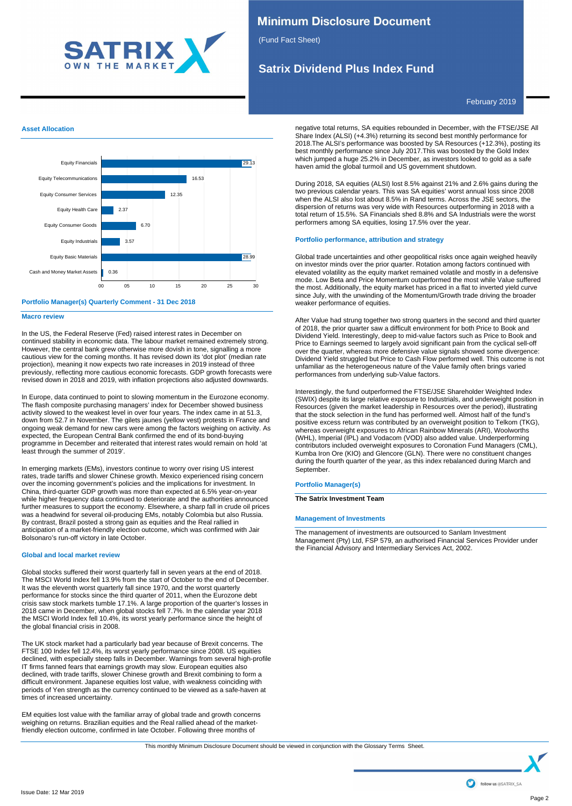

# **Minimum Disclosure Document**

(Fund Fact Sheet)

# **Satrix Dividend Plus Index Fund**

February 2019

# **Asset Allocation**





### **Macro review**

In the US, the Federal Reserve (Fed) raised interest rates in December on continued stability in economic data. The labour market remained extremely strong. However, the central bank grew otherwise more dovish in tone, signalling a more cautious view for the coming months. It has revised down its 'dot plot' (median rate projection), meaning it now expects two rate increases in 2019 instead of three previously, reflecting more cautious economic forecasts. GDP growth forecasts were revised down in 2018 and 2019, with inflation projections also adjusted downwards.

In Europe, data continued to point to slowing momentum in the Eurozone economy. The flash composite purchasing managers' index for December showed business activity slowed to the weakest level in over four years. The index came in at 51.3, down from 52.7 in November. The gilets jaunes (yellow vest) protests in France and ongoing weak demand for new cars were among the factors weighing on activity. As expected, the European Central Bank confirmed the end of its bond-buying programme in December and reiterated that interest rates would remain on hold 'at least through the summer of 2019'.

In emerging markets (EMs), investors continue to worry over rising US interest rates, trade tariffs and slower Chinese growth. Mexico experienced rising concern over the incoming government's policies and the implications for investment. In China, third-quarter GDP growth was more than expected at 6.5% year-on-year while higher frequency data continued to deteriorate and the authorities announced further measures to support the economy. Elsewhere, a sharp fall in crude oil prices was a headwind for several oil-producing EMs, notably Colombia but also Russia. By contrast, Brazil posted a strong gain as equities and the Real rallied in anticipation of a market-friendly election outcome, which was confirmed with Jair Bolsonaro's run-off victory in late October.

## **Global and local market review**

Global stocks suffered their worst quarterly fall in seven years at the end of 2018. The MSCI World Index fell 13.9% from the start of October to the end of December. It was the eleventh worst quarterly fall since 1970, and the worst quarterly performance for stocks since the third quarter of 2011, when the Eurozone debt crisis saw stock markets tumble 17.1%. A large proportion of the quarter's losses in 2018 came in December, when global stocks fell 7.7%. In the calendar year 2018 the MSCI World Index fell 10.4%, its worst yearly performance since the height of the global financial crisis in 2008.

The UK stock market had a particularly bad year because of Brexit concerns. The FTSE 100 Index fell 12.4%, its worst yearly performance since 2008. US equities declined, with especially steep falls in December. Warnings from several high-profile IT firms fanned fears that earnings growth may slow. European equities also declined, with trade tariffs, slower Chinese growth and Brexit combining to form a difficult environment. Japanese equities lost value, with weakness coinciding with periods of Yen strength as the currency continued to be viewed as a safe-haven at times of increased uncertainty.

EM equities lost value with the familiar array of global trade and growth concerns weighing on returns. Brazilian equities and the Real rallied ahead of the marketfriendly election outcome, confirmed in late October. Following three months of

negative total returns, SA equities rebounded in December, with the FTSE/JSE All Share Index (ALSI) (+4.3%) returning its second best monthly performance for 2018.The ALSI's performance was boosted by SA Resources (+12.3%), posting its best monthly performance since July 2017.This was boosted by the Gold Index which jumped a huge 25.2% in December, as investors looked to gold as a safe haven amid the global turmoil and US government shutdown.

During 2018, SA equities (ALSI) lost 8.5% against 21% and 2.6% gains during the two previous calendar years. This was SA equities' worst annual loss since 2008 when the ALSI also lost about 8.5% in Rand terms. Across the JSE sectors, the dispersion of returns was very wide with Resources outperforming in 2018 with a total return of 15.5%. SA Financials shed 8.8% and SA Industrials were the worst performers among SA equities, losing 17.5% over the year.

## **Portfolio performance, attribution and strategy**

Global trade uncertainties and other geopolitical risks once again weighed heavily on investor minds over the prior quarter. Rotation among factors continued with elevated volatility as the equity market remained volatile and mostly in a defensive mode. Low Beta and Price Momentum outperformed the most while Value suffered the most. Additionally, the equity market has priced in a flat to inverted yield curve since July, with the unwinding of the Momentum/Growth trade driving the broader weaker performance of equities.

After Value had strung together two strong quarters in the second and third quarter of 2018, the prior quarter saw a difficult environment for both Price to Book and Dividend Yield. Interestingly, deep to mid-value factors such as Price to Book and Price to Earnings seemed to largely avoid significant pain from the cyclical sell-off over the quarter, whereas more defensive value signals showed some divergence: Dividend Yield struggled but Price to Cash Flow performed well. This outcome is not unfamiliar as the heterogeneous nature of the Value family often brings varied performances from underlying sub-Value factors.

Interestingly, the fund outperformed the FTSE/JSE Shareholder Weighted Index (SWIX) despite its large relative exposure to Industrials, and underweight position in Resources (given the market leadership in Resources over the period), illustrating that the stock selection in the fund has performed well. Almost half of the fund's positive excess return was contributed by an overweight position to Telkom (TKG), whereas overweight exposures to African Rainbow Minerals (ARI), Woolworths (WHL), Imperial (IPL) and Vodacom (VOD) also added value. Underperforming contributors included overweight exposures to Coronation Fund Managers (CML), Kumba Iron Ore (KIO) and Glencore (GLN). There were no constituent changes during the fourth quarter of the year, as this index rebalanced during March and September.

### **Portfolio Manager(s)**

### **The Satrix Investment Team**

## **Management of Investments**

The management of investments are outsourced to Sanlam Investment Management (Pty) Ltd, FSP 579, an authorised Financial Services Provider under the Financial Advisory and Intermediary Services Act, 2002.

This monthly Minimum Disclosure Document should be viewed in conjunction with the Glossary Terms Sheet.